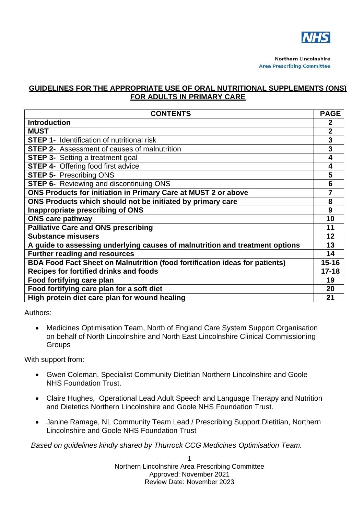

**Northern Lincolnshire Area Prescribing Committee** 

# **GUIDELINES FOR THE APPROPRIATE USE OF ORAL NUTRITIONAL SUPPLEMENTS (ONS) FOR ADULTS IN PRIMARY CARE**

| <b>CONTENTS</b>                                                              | <b>PAGE</b>    |
|------------------------------------------------------------------------------|----------------|
| <b>Introduction</b>                                                          | 2              |
| <b>MUST</b>                                                                  | $\overline{2}$ |
| <b>STEP 1-</b> Identification of nutritional risk                            | 3              |
| <b>STEP 2-</b> Assessment of causes of malnutrition                          | 3              |
| <b>STEP 3-</b> Setting a treatment goal                                      | 4              |
| <b>STEP 4- Offering food first advice</b>                                    | 4              |
| <b>STEP 5- Prescribing ONS</b>                                               | 5              |
| <b>STEP 6-</b> Reviewing and discontinuing ONS                               | 6              |
| ONS Products for initiation in Primary Care at MUST 2 or above               | 7              |
| ONS Products which should not be initiated by primary care                   | 8              |
| Inappropriate prescribing of ONS                                             | 9              |
| <b>ONS care pathway</b>                                                      | 10             |
| <b>Palliative Care and ONS prescribing</b>                                   | 11             |
| <b>Substance misusers</b>                                                    | 12             |
| A guide to assessing underlying causes of malnutrition and treatment options |                |
| <b>Further reading and resources</b>                                         |                |
| BDA Food Fact Sheet on Malnutrition (food fortification ideas for patients)  |                |
| <b>Recipes for fortified drinks and foods</b>                                |                |
| Food fortifying care plan                                                    | 19             |
| Food fortifying care plan for a soft diet                                    |                |
| High protein diet care plan for wound healing                                | 21             |

Authors:

• Medicines Optimisation Team, North of England Care System Support Organisation on behalf of North Lincolnshire and North East Lincolnshire Clinical Commissioning **Groups** 

With support from:

- Gwen Coleman, Specialist Community Dietitian Northern Lincolnshire and Goole NHS Foundation Trust.
- Claire Hughes, Operational Lead Adult Speech and Language Therapy and Nutrition and Dietetics Northern Lincolnshire and Goole NHS Foundation Trust.
- Janine Ramage, NL Community Team Lead / Prescribing Support Dietitian, Northern Lincolnshire and Goole NHS Foundation Trust

*Based on guidelines kindly shared by Thurrock CCG Medicines Optimisation Team.*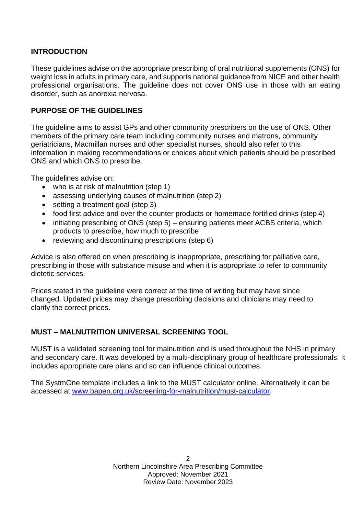### **INTRODUCTION**

These guidelines advise on the appropriate prescribing of oral nutritional supplements (ONS) for weight loss in adults in primary care, and supports national guidance from NICE and other health professional organisations. The guideline does not cover ONS use in those with an eating disorder, such as anorexia nervosa.

#### **PURPOSE OF THE GUIDELINES**

The guideline aims to assist GPs and other community prescribers on the use of ONS. Other members of the primary care team including community nurses and matrons, community geriatricians, Macmillan nurses and other specialist nurses, should also refer to this information in making recommendations or choices about which patients should be prescribed ONS and which ONS to prescribe.

The guidelines advise on:

- who is at risk of malnutrition (step 1)
- assessing underlying causes of malnutrition (step 2)
- setting a treatment goal (step 3)
- food first advice and over the counter products or homemade fortified drinks (step 4)
- initiating prescribing of ONS (step 5) ensuring patients meet ACBS criteria, which products to prescribe, how much to prescribe
- reviewing and discontinuing prescriptions (step 6)

Advice is also offered on when prescribing is inappropriate, prescribing for palliative care, prescribing in those with substance misuse and when it is appropriate to refer to community dietetic services.

Prices stated in the guideline were correct at the time of writing but may have since changed. Updated prices may change prescribing decisions and clinicians may need to clarify the correct prices.

### **MUST – MALNUTRITION UNIVERSAL SCREENING TOOL**

MUST is a validated screening tool for malnutrition and is used throughout the NHS in primary and secondary care. It was developed by a multi-disciplinary group of healthcare professionals. It includes appropriate care plans and so can influence clinical outcomes.

The SystmOne template includes a link to the MUST calculator online. Alternatively it can be accessed at [www.bapen.org.uk/screening-for-malnutrition/must-calculator.](http://www.bapen.org.uk/screening-for-malnutrition/must-calculator)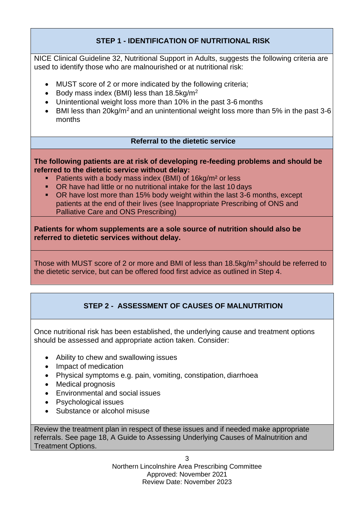# **STEP 1 - IDENTIFICATION OF NUTRITIONAL RISK**

NICE Clinical Guideline 32, Nutritional Support in Adults, suggests the following criteria are used to identify those who are malnourished or at nutritional risk:

- MUST score of 2 or more indicated by the following criteria;
- Body mass index (BMI) less than  $18.5$ kg/m<sup>2</sup>
- Unintentional weight loss more than 10% in the past 3-6 months
- BMI less than  $20\text{kg/m}^2$  and an unintentional weight loss more than 5% in the past 3-6 months

# **Referral to the dietetic service**

**The following patients are at risk of developing re-feeding problems and should be referred to the dietetic service without delay:**

- Patients with a body mass index (BMI) of 16kg/m<sup>2</sup> or less
- OR have had little or no nutritional intake for the last 10 days
- OR have lost more than 15% body weight within the last 3-6 months, except patients at the end of their lives (see Inappropriate Prescribing of ONS and Palliative Care and ONS Prescribing)

**Patients for whom supplements are a sole source of nutrition should also be referred to dietetic services without delay.**

Those with MUST score of 2 or more and BMI of less than  $18.5\text{kg/m}^2$  should be referred to the dietetic service, but can be offered food first advice as outlined in Step 4.

# **STEP 2 - ASSESSMENT OF CAUSES OF MALNUTRITION**

Once nutritional risk has been established, the underlying cause and treatment options should be assessed and appropriate action taken. Consider:

- Ability to chew and swallowing issues
- Impact of medication
- Physical symptoms e.g. pain, vomiting, constipation, diarrhoea
- Medical prognosis
- Environmental and social issues
- Psychological issues
- Substance or alcohol misuse

Review the treatment plan in respect of these issues and if needed make appropriate referrals. See page 18, A Guide to Assessing Underlying Causes of Malnutrition and Treatment Options.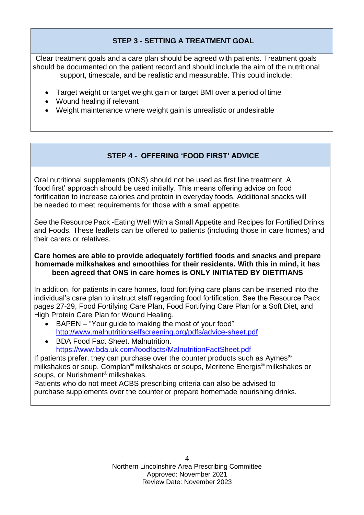# **STEP 3 - SETTING A TREATMENT GOAL**

Clear treatment goals and a care plan should be agreed with patients. Treatment goals should be documented on the patient record and should include the aim of the nutritional support, timescale, and be realistic and measurable. This could include:

- Target weight or target weight gain or target BMI over a period of time
- Wound healing if relevant
- Weight maintenance where weight gain is unrealistic or undesirable

# **STEP 4 - OFFERING 'FOOD FIRST' ADVICE**

Oral nutritional supplements (ONS) should not be used as first line treatment. A 'food first' approach should be used initially. This means offering advice on food fortification to increase calories and protein in everyday foods. Additional snacks will be needed to meet requirements for those with a small appetite.

See the Resource Pack -Eating Well With a Small Appetite and Recipes for Fortified Drinks and Foods. These leaflets can be offered to patients (including those in care homes) and their carers or relatives.

#### **Care homes are able to provide adequately fortified foods and snacks and prepare homemade milkshakes and smoothies for their residents. With this in mind, it has been agreed that ONS in care homes is ONLY INITIATED BY DIETITIANS**

In addition, for patients in care homes, food fortifying care plans can be inserted into the individual's care plan to instruct staff regarding food fortification. See the Resource Pack pages 27-29, Food Fortifying Care Plan, Food Fortifying Care Plan for a Soft Diet, and High Protein Care Plan for Wound Healing.

- BAPEN "Your guide to making the most of your food" <http://www.malnutritionselfscreening.org/pdfs/advice-sheet.pdf>
- BDA Food Fact Sheet. Malnutrition. <https://www.bda.uk.com/foodfacts/MalnutritionFactSheet.pdf>

If patients prefer, they can purchase over the counter products such as  $A$ ymes<sup>®</sup> milkshakes or soup, Complan® milkshakes or soups, Meritene Energis® milkshakes or soups, or Nurishment® milkshakes.

Patients who do not meet ACBS prescribing criteria can also be advised to purchase supplements over the counter or prepare homemade nourishing drinks.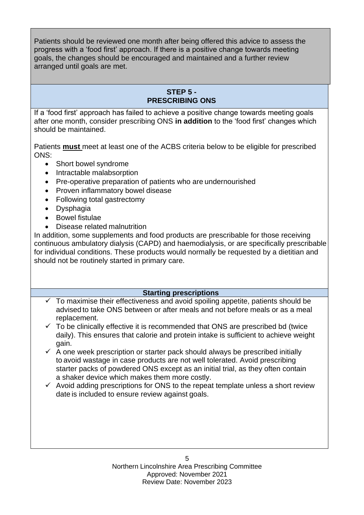Patients should be reviewed one month after being offered this advice to assess the progress with a 'food first' approach. If there is a positive change towards meeting goals, the changes should be encouraged and maintained and a further review arranged until goals are met.

# **STEP 5 - PRESCRIBING ONS**

If a 'food first' approach has failed to achieve a positive change towards meeting goals after one month, consider prescribing ONS **in addition** to the 'food first' changes which should be maintained.

Patients **must** meet at least one of the ACBS criteria below to be eligible for prescribed ONS:

- Short bowel syndrome
- Intractable malabsorption
- Pre-operative preparation of patients who are undernourished
- Proven inflammatory bowel disease
- Following total gastrectomy
- Dysphagia
- Bowel fistulae
- Disease related malnutrition

In addition, some supplements and food products are prescribable for those receiving continuous ambulatory dialysis (CAPD) and haemodialysis, or are specifically prescribable for individual conditions. These products would normally be requested by a dietitian and should not be routinely started in primary care.

# **Starting prescriptions**

- $\checkmark$  To maximise their effectiveness and avoid spoiling appetite, patients should be advised to take ONS between or after meals and not before meals or as a meal replacement.
- $\checkmark$  To be clinically effective it is recommended that ONS are prescribed bd (twice daily). This ensures that calorie and protein intake is sufficient to achieve weight gain.
- $\checkmark$  A one week prescription or starter pack should always be prescribed initially to avoid wastage in case products are not well tolerated. Avoid prescribing starter packs of powdered ONS except as an initial trial, as they often contain a shaker device which makes them more costly.
- $\checkmark$  Avoid adding prescriptions for ONS to the repeat template unless a short review date is included to ensure review against goals.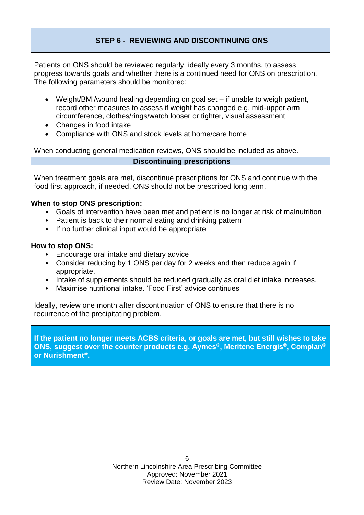# **STEP 6 - REVIEWING AND DISCONTINUING ONS**

Patients on ONS should be reviewed regularly, ideally every 3 months, to assess progress towards goals and whether there is a continued need for ONS on prescription. The following parameters should be monitored:

- Weight/BMI/wound healing depending on goal set if unable to weigh patient, record other measures to assess if weight has changed e.g. mid-upper arm circumference, clothes/rings/watch looser or tighter, visual assessment
- Changes in food intake
- Compliance with ONS and stock levels at home/care home

When conducting general medication reviews, ONS should be included as above.

#### **Discontinuing prescriptions**

When treatment goals are met, discontinue prescriptions for ONS and continue with the food first approach, if needed. ONS should not be prescribed long term.

#### **When to stop ONS prescription:**

- Goals of intervention have been met and patient is no longer at risk of malnutrition
- Patient is back to their normal eating and drinking pattern
- If no further clinical input would be appropriate

#### **How to stop ONS:**

- Encourage oral intake and dietary advice
- Consider reducing by 1 ONS per day for 2 weeks and then reduce again if appropriate.
- Intake of supplements should be reduced gradually as oral diet intake increases.
- Maximise nutritional intake. 'Food First' advice continues

Ideally, review one month after discontinuation of ONS to ensure that there is no recurrence of the precipitating problem.

**If the patient no longer meets ACBS criteria, or goals are met, but still wishes to take ONS, suggest over the counter products e.g. Aymes®, Meritene Energis®, Complan® or Nurishment®.**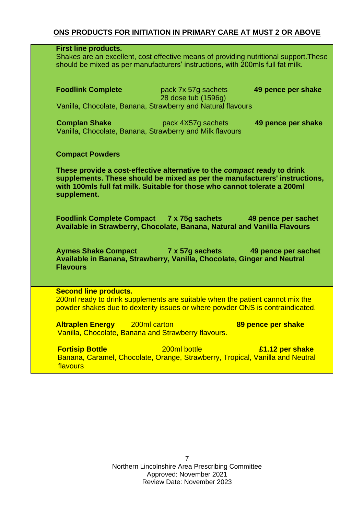# **ONS PRODUCTS FOR INITIATION IN PRIMARY CARE AT MUST 2 OR ABOVE**

| <b>First line products.</b>                                       |                        | should be mixed as per manufacturers' instructions, with 200mls full fat milk. | Shakes are an excellent, cost effective means of providing nutritional support. These                                                                          |
|-------------------------------------------------------------------|------------------------|--------------------------------------------------------------------------------|----------------------------------------------------------------------------------------------------------------------------------------------------------------|
| <b>Foodlink Complete</b>                                          |                        | pack 7x 57g sachets<br>28 dose tub (1596g)                                     | 49 pence per shake                                                                                                                                             |
|                                                                   |                        | Vanilla, Chocolate, Banana, Strawberry and Natural flavours                    |                                                                                                                                                                |
| <b>Complan Shake</b>                                              | <b>Service Service</b> | pack 4X57g sachets<br>Vanilla, Chocolate, Banana, Strawberry and Milk flavours | 49 pence per shake                                                                                                                                             |
| <b>Compact Powders</b>                                            |                        |                                                                                |                                                                                                                                                                |
| supplement.                                                       |                        | with 100mls full fat milk. Suitable for those who cannot tolerate a 200ml      | These provide a cost-effective alternative to the <i>compact</i> ready to drink<br>supplements. These should be mixed as per the manufacturers' instructions,  |
| <b>Foodlink Complete Compact</b>                                  |                        |                                                                                | 7 x 75g sachets 49 pence per sachet<br>Available in Strawberry, Chocolate, Banana, Natural and Vanilla Flavours                                                |
| <b>Aymes Shake Compact Aymes Shake Compact</b><br><b>Flavours</b> |                        | <b>7 x 57g sachets</b>                                                         | 49 pence per sachet<br>Available in Banana, Strawberry, Vanilla, Chocolate, Ginger and Neutral                                                                 |
| <b>Second line products.</b>                                      |                        |                                                                                | 200ml ready to drink supplements are suitable when the patient cannot mix the<br>powder shakes due to dexterity issues or where powder ONS is contraindicated. |
| <b>Altraplen Energy</b> 200ml carton                              |                        | Vanilla, Chocolate, Banana and Strawberry flavours.                            | 89 pence per shake                                                                                                                                             |
| <b>Fortisip Bottle</b><br>flavours                                |                        | 200ml bottle                                                                   | £1.12 per shake<br>Banana, Caramel, Chocolate, Orange, Strawberry, Tropical, Vanilla and Neutral                                                               |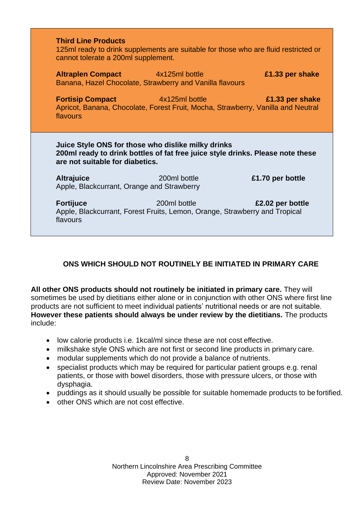| <b>Third Line Products</b><br>cannot tolerate a 200ml supplement. | 125ml ready to drink supplements are suitable for those who are fluid restricted or                                                  |                                                                                                                                         |
|-------------------------------------------------------------------|--------------------------------------------------------------------------------------------------------------------------------------|-----------------------------------------------------------------------------------------------------------------------------------------|
| <b>Altraplen Compact</b> 4x125ml bottle                           | Banana, Hazel Chocolate, Strawberry and Vanilla flavours                                                                             | £1.33 per shake                                                                                                                         |
| <b>Fortisip Compact</b> 4x125ml bottle<br>flavours                | Apricot, Banana, Chocolate, Forest Fruit, Mocha, Strawberry, Vanilla and Neutral                                                     | <b>Contract Contract Contract Contract Contract Contract Contract Contract Contract Contract Contract Contract C</b><br>£1.33 per shake |
|                                                                   |                                                                                                                                      |                                                                                                                                         |
| are not suitable for diabetics.                                   | Juice Style ONS for those who dislike milky drinks<br>200ml ready to drink bottles of fat free juice style drinks. Please note these |                                                                                                                                         |
| <b>Altrajuice</b><br>Apple, Blackcurrant, Orange and Strawberry   | 200ml bottle                                                                                                                         | £1.70 per bottle                                                                                                                        |

# **ONS WHICH SHOULD NOT ROUTINELY BE INITIATED IN PRIMARY CARE**

**All other ONS products should not routinely be initiated in primary care.** They will sometimes be used by dietitians either alone or in conjunction with other ONS where first line products are not sufficient to meet individual patients' nutritional needs or are not suitable. **However these patients should always be under review by the dietitians.** The products include:

- low calorie products i.e. 1kcal/ml since these are not cost effective.
- milkshake style ONS which are not first or second line products in primary care.
- modular supplements which do not provide a balance of nutrients.
- specialist products which may be required for particular patient groups e.g. renal patients, or those with bowel disorders, those with pressure ulcers, or those with dysphagia.
- puddings as it should usually be possible for suitable homemade products to be fortified.
- other ONS which are not cost effective.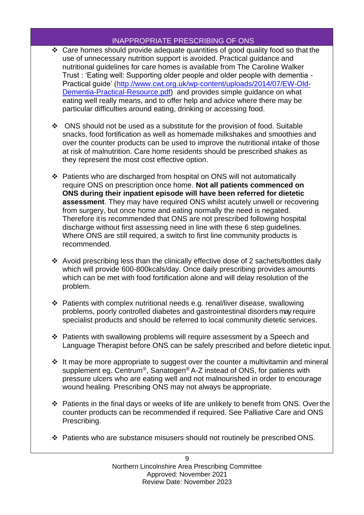# INAPPROPRIATE PRESCRIBING OF ONS

- ❖ Care homes should provide adequate quantities of good quality food so that the use of unnecessary nutrition support is avoided. Practical guidance and nutritional guidelines for care homes is available from The Caroline Walker Trust : 'Eating well: Supporting older people and older people with dementia - Practical guide' [\(http://www.cwt.org.uk/wp-content/uploads/2014/07/EW-Old-](http://www.cwt.org.uk/wp-content/uploads/2014/07/EW-Old-Dementia-Practical-Resource.pdf)[Dementia-Practical-Resource.pdf\)](http://www.cwt.org.uk/wp-content/uploads/2014/07/EW-Old-Dementia-Practical-Resource.pdf) and provides simple guidance on what eating well really means, and to offer help and advice where there may be particular difficulties around eating, drinking or accessing food.
- ❖ ONS should not be used as a substitute for the provision of food. Suitable snacks, food fortification as well as homemade milkshakes and smoothies and over the counter products can be used to improve the nutritional intake of those at risk of malnutrition. Care home residents should be prescribed shakes as they represent the most cost effective option.
- ❖ Patients who are discharged from hospital on ONS will not automatically require ONS on prescription once home. **Not all patients commenced on ONS during their inpatient episode will have been referred for dietetic assessment**. They may have required ONS whilst acutely unwell or recovering from surgery, but once home and eating normally the need is negated. Therefore it is recommended that ONS are not prescribed following hospital discharge without first assessing need in line with these 6 step guidelines. Where ONS are still required, a switch to first line community products is recommended.
- ❖ Avoid prescribing less than the clinically effective dose of 2 sachets/bottles daily which will provide 600-800 kcals/day. Once daily prescribing provides amounts which can be met with food fortification alone and will delay resolution of the problem.
- ❖ Patients with complex nutritional needs e.g. renal/liver disease, swallowing problems, poorly controlled diabetes and gastrointestinal disorders may require specialist products and should be referred to local community dietetic services.
- ❖ Patients with swallowing problems will require assessment by a Speech and Language Therapist before ONS can be safely prescribed and before dietetic input.
- ❖ It may be more appropriate to suggest over the counter a multivitamin and mineral supplement eg. Centrum<sup>®</sup>, Sanatogen<sup>®</sup> A-Z instead of ONS, for patients with pressure ulcers who are eating well and not malnourished in order to encourage wound healing. Prescribing ONS may not always be appropriate.
- ❖ Patients in the final days or weeks of life are unlikely to benefit from ONS. Over the counter products can be recommended if required. See Palliative Care and ONS Prescribing.
- ❖ Patients who are substance misusers should not routinely be prescribed ONS.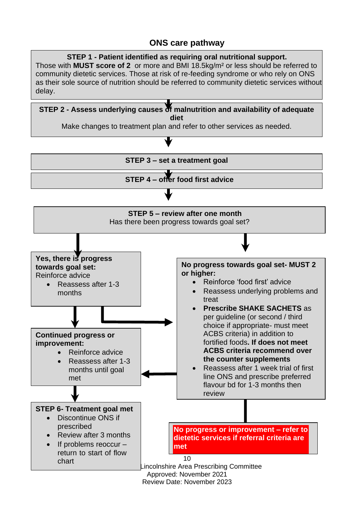# **ONS care pathway**

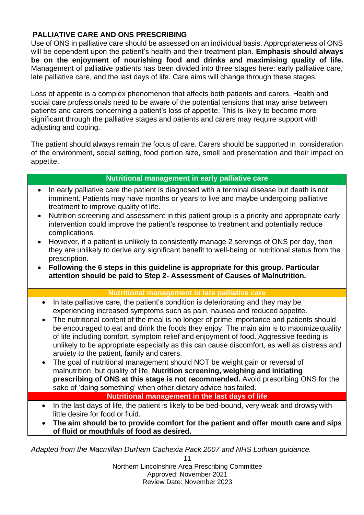# **PALLIATIVE CARE AND ONS PRESCRIBING**

Use of ONS in palliative care should be assessed on an individual basis. Appropriateness of ONS will be dependent upon the patient's health and their treatment plan. **Emphasis should always be on the enjoyment of nourishing food and drinks and maximising quality of life.**  Management of palliative patients has been divided into three stages here: early palliative care, late palliative care, and the last days of life. Care aims will change through these stages.

Loss of appetite is a complex phenomenon that affects both patients and carers. Health and social care professionals need to be aware of the potential tensions that may arise between patients and carers concerning a patient's loss of appetite. This is likely to become more significant through the palliative stages and patients and carers may require support with adjusting and coping.

The patient should always remain the focus of care. Carers should be supported in consideration of the environment, social setting, food portion size, smell and presentation and their impact on appetite.

#### **Nutritional management in early palliative care**

- In early palliative care the patient is diagnosed with a terminal disease but death is not imminent. Patients may have months or years to live and maybe undergoing palliative treatment to improve quality of life.
- Nutrition screening and assessment in this patient group is a priority and appropriate early intervention could improve the patient's response to treatment and potentially reduce complications.
- However, if a patient is unlikely to consistently manage 2 servings of ONS per day, then they are unlikely to derive any significant benefit to well-being or nutritional status from the prescription.
- **Following the 6 steps in this guideline is appropriate for this group. Particular attention should be paid to Step 2- Assessment of Causes of Malnutrition.**

#### **Nutritional management in late palliative care**

- In late palliative care, the patient's condition is deteriorating and they may be experiencing increased symptoms such as pain, nausea and reduced appetite.
- The nutritional content of the meal is no longer of prime importance and patients should be encouraged to eat and drink the foods they enjoy. The main aim is to maximizequality of life including comfort, symptom relief and enjoyment of food. Aggressive feeding is unlikely to be appropriate especially as this can cause discomfort, as well as distress and anxiety to the patient, family and carers.
- The goal of nutritional management should NOT be weight gain or reversal of malnutrition, but quality of life. **Nutrition screening, weighing and initiating prescribing of ONS at this stage is not recommended.** Avoid prescribing ONS for the sake of 'doing something' when other dietary advice has failed.

#### **Nutritional management in the last days of life**

- In the last days of life, the patient is likely to be bed-bound, very weak and drowsy with little desire for food or fluid.
- **The aim should be to provide comfort for the patient and offer mouth care and sips of fluid or mouthfuls of food as desired.**

*Adapted from the Macmillan Durham Cachexia Pack 2007 and NHS Lothian guidance.*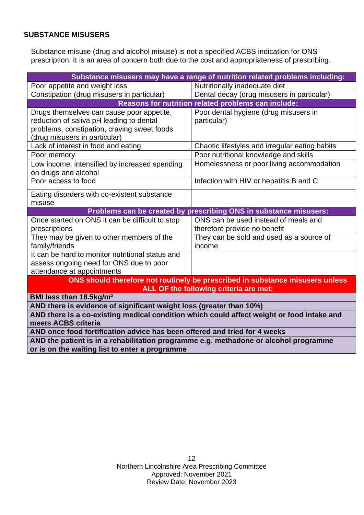#### **SUBSTANCE MISUSERS**

Substance misuse (drug and alcohol misuse) is not a specified ACBS indication for ONS prescription. It is an area of concern both due to the cost and appropriateness of prescribing.

| Substance misusers may have a range of nutrition related problems including:                                            |                                                                   |  |  |
|-------------------------------------------------------------------------------------------------------------------------|-------------------------------------------------------------------|--|--|
| Poor appetite and weight loss                                                                                           | Nutritionally inadequate diet                                     |  |  |
| Constipation (drug misusers in particular)                                                                              | Dental decay (drug misusers in particular)                        |  |  |
|                                                                                                                         | Reasons for nutrition related problems can include:               |  |  |
| Drugs themselves can cause poor appetite,                                                                               | Poor dental hygiene (drug misusers in                             |  |  |
| reduction of saliva pH leading to dental                                                                                | particular)                                                       |  |  |
| problems, constipation, craving sweet foods                                                                             |                                                                   |  |  |
| (drug misusers in particular)                                                                                           |                                                                   |  |  |
| Lack of interest in food and eating                                                                                     | Chaotic lifestyles and irregular eating habits                    |  |  |
| Poor memory                                                                                                             | Poor nutritional knowledge and skills                             |  |  |
| Low income, intensified by increased spending<br>on drugs and alcohol                                                   | Homelessness or poor living accommodation                         |  |  |
| Poor access to food                                                                                                     | Infection with HIV or hepatitis B and C                           |  |  |
| Eating disorders with co-existent substance                                                                             |                                                                   |  |  |
| misuse                                                                                                                  |                                                                   |  |  |
|                                                                                                                         | Problems can be created by prescribing ONS in substance misusers: |  |  |
| Once started on ONS it can be difficult to stop                                                                         | ONS can be used instead of meals and                              |  |  |
| prescriptions                                                                                                           | therefore provide no benefit                                      |  |  |
| They may be given to other members of the                                                                               | They can be sold and used as a source of                          |  |  |
| family/friends                                                                                                          | income                                                            |  |  |
| It can be hard to monitor nutritional status and                                                                        |                                                                   |  |  |
| assess ongoing need for ONS due to poor                                                                                 |                                                                   |  |  |
| attendance at appointments                                                                                              |                                                                   |  |  |
| ONS should therefore not routinely be prescribed in substance misusers unless<br>ALL OF the following criteria are met: |                                                                   |  |  |
| BMI less than 18.5kg/m <sup>2</sup>                                                                                     |                                                                   |  |  |
| AND there is evidence of significant weight loss (greater than 10%)                                                     |                                                                   |  |  |
| AND there is a co-existing medical condition which could affect weight or food intake and                               |                                                                   |  |  |
| meets ACBS criteria                                                                                                     |                                                                   |  |  |
| AND once food fortification advice has been offered and tried for 4 weeks                                               |                                                                   |  |  |
| AND the patient is in a rehabilitation programme e.g. methadone or alcohol programme                                    |                                                                   |  |  |
| or is on the waiting list to enter a programme                                                                          |                                                                   |  |  |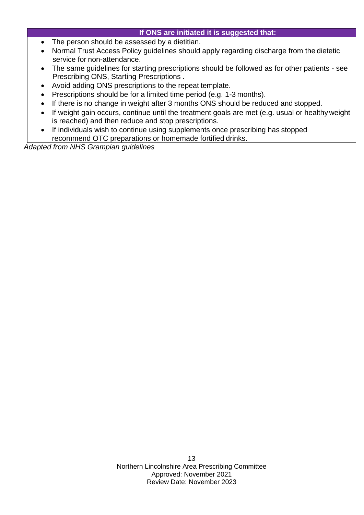#### **If ONS are initiated it is suggested that:**

- The person should be assessed by a dietitian.
- Normal Trust Access Policy guidelines should apply regarding discharge from the dietetic service for non-attendance.
- The same guidelines for starting prescriptions should be followed as for other patients see Prescribing ONS, Starting Prescriptions .
- Avoid adding ONS prescriptions to the repeat template.
- Prescriptions should be for a limited time period (e.g. 1-3 months).
- If there is no change in weight after 3 months ONS should be reduced and stopped.
- If weight gain occurs, continue until the treatment goals are met (e.g. usual or healthyweight is reached) and then reduce and stop prescriptions.
- If individuals wish to continue using supplements once prescribing has stopped recommend OTC preparations or homemade fortified drinks.

*Adapted from NHS Grampian guidelines*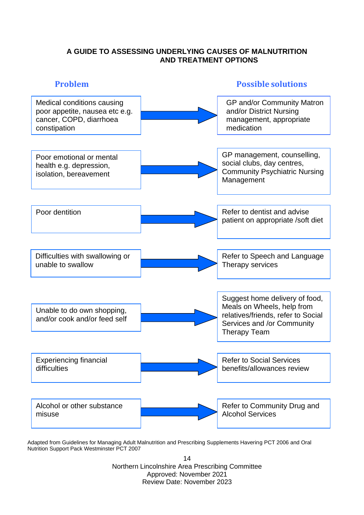### **A GUIDE TO ASSESSING UNDERLYING CAUSES OF MALNUTRITION AND TREATMENT OPTIONS**

| <b>Problem</b>                                                                                          | <b>Possible solutions</b>                                                                                                                               |
|---------------------------------------------------------------------------------------------------------|---------------------------------------------------------------------------------------------------------------------------------------------------------|
| Medical conditions causing<br>poor appetite, nausea etc e.g.<br>cancer, COPD, diarrhoea<br>constipation | GP and/or Community Matron<br>and/or District Nursing<br>management, appropriate<br>medication                                                          |
|                                                                                                         |                                                                                                                                                         |
| Poor emotional or mental<br>health e.g. depression,<br>isolation, bereavement                           | GP management, counselling,<br>social clubs, day centres,<br><b>Community Psychiatric Nursing</b><br>Management                                         |
|                                                                                                         |                                                                                                                                                         |
| Poor dentition                                                                                          | Refer to dentist and advise<br>patient on appropriate /soft diet                                                                                        |
|                                                                                                         |                                                                                                                                                         |
| Difficulties with swallowing or<br>unable to swallow                                                    | Refer to Speech and Language<br>Therapy services                                                                                                        |
|                                                                                                         |                                                                                                                                                         |
| Unable to do own shopping,<br>and/or cook and/or feed self                                              | Suggest home delivery of food,<br>Meals on Wheels, help from<br>relatives/friends, refer to Social<br>Services and /or Community<br><b>Therapy Team</b> |
|                                                                                                         |                                                                                                                                                         |
| <b>Experiencing financial</b><br>difficulties                                                           | <b>Refer to Social Services</b><br>benefits/allowances review                                                                                           |
|                                                                                                         |                                                                                                                                                         |
| Alcohol or other substance<br>misuse                                                                    | Refer to Community Drug and<br><b>Alcohol Services</b>                                                                                                  |

Adapted from Guidelines for Managing Adult Malnutrition and Prescribing Supplements Havering PCT 2006 and Oral Nutrition Support Pack Westminster PCT 2007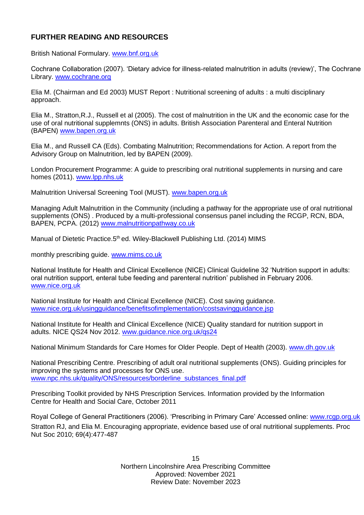#### **FURTHER READING AND RESOURCES**

British National Formulary. [www.bnf.org.uk](http://www.bnf.org.uk/)

Cochrane Collaboration (2007). 'Dietary advice for illness-related malnutrition in adults (review)', The Cochrane Library. [www.cochrane.org](http://www.cochrane.org/)

Elia M. (Chairman and Ed 2003) MUST Report : Nutritional screening of adults : a multi disciplinary approach.

Elia M., Stratton,R.J., Russell et al (2005). The cost of malnutrition in the UK and the economic case for the use of oral nutritional supplemnts (ONS) in adults. British Association Parenteral and Enteral Nutrition (BAPEN) [www.bapen.org.uk](http://www.bapen.org.uk/)

Elia M., and Russell CA (Eds). Combating Malnutrition; Recommendations for Action. A report from the Advisory Group on Malnutrition, led by BAPEN (2009).

London Procurement Programme: A guide to prescribing oral nutritional supplements in nursing and care homes (2011). [www.lpp.nhs.uk](http://www.lpp.nhs.uk/)

Malnutrition Universal Screening Tool (MUST). [www.bapen.org.uk](http://www.bapen.org.uk/)

Managing Adult Malnutrition in the Community (including a pathway for the appropriate use of oral nutritional supplements (ONS) . Produced by a multi-professional consensus panel including the RCGP, RCN, BDA, BAPEN, PCPA. (2012) [www.malnutritionpathway.co.uk](http://www.malnutritionpathway.co.uk/)

Manual of Dietetic Practice.5<sup>th</sup> ed. Wiley-Blackwell Publishing Ltd. (2014) MIMS

monthly prescribing guide. [www.mims.co.uk](http://www.mims.co.uk/)

National Institute for Health and Clinical Excellence (NICE) Clinical Guideline 32 'Nutrition support in adults: oral nutrition support, enteral tube feeding and parenteral nutrition' published in February 2006. [www.nice.org.uk](http://www.nice.org.uk/)

National Institute for Health and Clinical Excellence (NICE). Cost saving guidance. [www.nice.org.uk/usingguidance/benefitsofimplementation/costsavingguidance.jsp](http://www.nice.org.uk/usingguidance/benefitsofimplementation/costsavingguidance.jsp)

National Institute for Health and Clinical Excellence (NICE) Quality standard for nutrition support in adults. NICE QS24 Nov 2012. [www.guidance.nice.org.uk/qs24](http://www.guidance.nice.org.uk/qs24)

National Minimum Standards for Care Homes for Older People. Dept of Health (2003). [www.dh.gov.uk](http://www.dh.gov.uk/)

National Prescribing Centre. Prescribing of adult oral nutritional supplements (ONS). Guiding principles for improving the systems and processes for ONS use. [www.npc.nhs.uk/](http://www.npc.nhs.uk/)quality/ONS/resources/borderline\_substances\_final.pdf

Prescribing Toolkit provided by NHS Prescription Services. Information provided by the Information Centre for Health and Social Care, October 2011

Royal College of General Practitioners (2006). 'Prescribing in Primary Care' Accessed online: [www.rcgp.org.uk](http://www.rcgp.org.uk/) Stratton RJ, and Elia M. Encouraging appropriate, evidence based use of oral nutritional supplements. Proc Nut Soc 2010; 69(4):477-487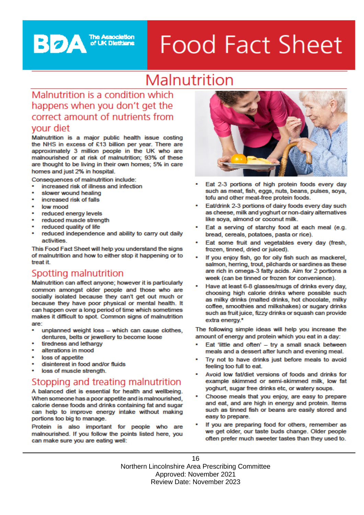# **Food Fact Sheet**

# This document has been produced based, with permission, with permission, on the work of NHS Thurrock CCG Medici

# Malnutrition is a condition which happens when you don't get the correct amount of nutrients from vour diet

The Association<br>of UK Distitions

Malnutrition is a major public health issue costing the NHS in excess of £13 billion per year. There are approximately 3 million people in the UK who are malnourished or at risk of malnutrition; 93% of these are thought to be living in their own homes; 5% in care homes and just 2% in hospital.

Consequences of malnutrition include:

- increased risk of illness and infection
- slower wound healing

**BOA** 

- increased risk of falls
- low mood
- reduced energy levels
- reduced muscle strength
- reduced quality of life
- reduced independence and ability to carry out daily activities

This Food Fact Sheet will help you understand the signs of malnutrition and how to either stop it happening or to treat it.

# Spotting malnutrition

Malnutrition can affect anyone; however it is particularly common amongst older people and those who are socially isolated because they can't get out much or because they have poor physical or mental health. It can happen over a long period of time which sometimes makes it difficult to spot. Common signs of malnutrition are<sup>-</sup>

- unplanned weight loss which can cause clothes, dentures, belts or jewellery to become loose
- tiredness and lethargy
- alterations in mood
- loss of appetite
- disinterest in food and/or fluids
- loss of muscle strength.

# Stopping and treating malnutrition

A balanced diet is essential for health and wellbeing. When someone has a poor appetite and is malnourished. calorie dense foods and drinks containing fat and sugar can help to improve energy intake without making portions too big to manage.

Protein is also important for people who are malnourished. If you follow the points listed here, you can make sure you are eating well:



- Eat 2-3 portions of high protein foods every day such as meat, fish, eggs, nuts, beans, pulses, soya, tofu and other meat-free protein foods.
- Eat/drink 2-3 portions of dairy foods every day such as cheese, milk and yoghurt or non-dairy alternatives like soya, almond or coconut milk.
- Eat a serving of starchy food at each meal (e.g. bread, cereals, potatoes, pasta or rice).
- Eat some fruit and vegetables every day (fresh, frozen, tinned, dried or juiced).
- If you enjoy fish, go for oily fish such as mackerel, salmon, herring, trout, pilchards or sardines as these are rich in omega-3 fatty acids. Aim for 2 portions a week (can be tinned or frozen for convenience).
- Have at least 6-8 glasses/mugs of drinks every day, choosing high calorie drinks where possible such as milky drinks (malted drinks, hot chocolate, milky coffee, smoothies and milkshakes) or sugary drinks such as fruit juice, fizzy drinks or squash can provide extra energy.\*

The following simple ideas will help you increase the amount of energy and protein which you eat in a day:

- Eat 'little and often' try a small snack between meals and a dessert after lunch and evening meal.
- Try not to have drinks just before meals to avoid feeling too full to eat.
- Avoid low fat/diet versions of foods and drinks for example skimmed or semi-skimmed milk, low fat yoghurt, sugar free drinks etc, or watery soups.
- Choose meals that you enjoy, are easy to prepare and eat, and are high in energy and protein. Items such as tinned fish or beans are easily stored and easy to prepare.
- If you are preparing food for others, remember as we get older, our taste buds change. Older people often prefer much sweeter tastes than they used to.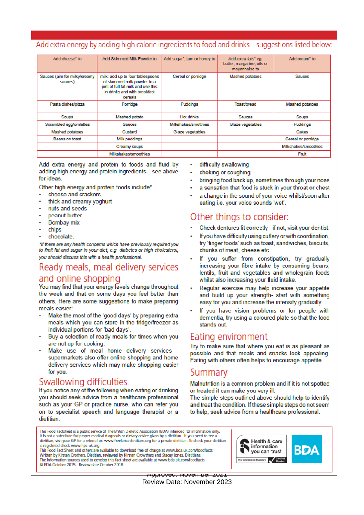# Add extra energy by adding high calorie ingredients to food and drinks – suggestions listed below:

| Add cheese" to                          | Add Skimmed Milk Powder to                                                                                                                       | Add sugar", jam or honey to | Add extra fats" eg.<br>butter, margarine, oils or<br>mayonnaise to | Add cream <sup>®</sup> to |
|-----------------------------------------|--------------------------------------------------------------------------------------------------------------------------------------------------|-----------------------------|--------------------------------------------------------------------|---------------------------|
| Sauces (aim for milky/creamy<br>sauces) | milk: add up to four tablespoons<br>of skimmed milk powder to a<br>pint of full fat milk and use this<br>in drinks and with breakfast<br>cereals | Cereal or porridge          | Mashed potatoes                                                    | <b>Sauces</b>             |
| Pasta dishes/pizza                      | Porridge                                                                                                                                         | Puddings                    | Toast/bread                                                        | Mashed potatoes           |
| Soups                                   | Mashed potato                                                                                                                                    | Hot drinks                  | <b>Sauces</b>                                                      | <b>Soups</b>              |
| Scrambled egg/omlettes                  | Sauces                                                                                                                                           | Milkshakes/smotthies        | Glaze vegetables                                                   | <b>Puddings</b>           |
| Mashed potatoes                         | Custard                                                                                                                                          | Glaze vegetables            |                                                                    | Cakes                     |
| Beans on toast                          | Milk puddings                                                                                                                                    |                             |                                                                    | Cereal or porridge        |
|                                         | Creamy soups                                                                                                                                     |                             |                                                                    | Milkshakes/smoothies      |
|                                         | Milkshakes/smoothies                                                                                                                             |                             |                                                                    | Fruit                     |

Add extra energy and protein to foods and fluid by adding high energy and protein ingredients - see above for ideas.

Other high energy and protein foods include\*

- cheese and crackers
- thick and creamy voghurt
- nuts and seeds
- peanut butter
- Bombay mix
- chips
- chocolate

\*If there are any health concerns which have previously required you to limit fat and sugar in your diet, e.g. diabetes or high cholesterol, you should discuss this with a health professional.

# Ready meals, meal delivery services and online shopping

You may find that your energy levels change throughout the week and that on some days you feel better than others. Here are some suggestions to make preparing meals easier:

- Make the most of the 'good days' by preparing extra meals which you can store in the fridge/freezer as individual portions for 'bad days'.
- Buy a selection of ready meals for times when you are not up for cooking.
- Make use of meal home delivery services supermarkets also offer online shopping and home delivery services which may make shopping easier for you.

# Swallowing difficulties

If you notice any of the following when eating or drinking you should seek advice from a healthcare professional such as your GP or practice nurse, who can refer you on to specialist speech and language therapist or a dietitian:

- difficulty swallowing
- choking or coughing
- bringing food back up, sometimes through your nose
- a sensation that food is stuck in your throat or chest
- a change in the sound of your voice whilst/soon after eating i.e. your voice sounds 'wet'.

# Other things to consider:

- Check dentures fit correctly if not, visit your dentist.
- If you have difficulty using cutlery or with coordination. try 'finger foods' such as toast, sandwiches, biscuits, chunks of meat, cheese etc.
- If you suffer from constipation, try gradually increasing your fibre intake by consuming beans, lentils, fruit and vegetables and wholegrain foods whilst also increasing your fluid intake.
- Regular exercise may help increase your appetite and build up your strength- start with something easy for you and increase the intensity gradually.
- If you have vision problems or for people with dementia, try using a coloured plate so that the food stands out.

# Eating environment

Try to make sure that where you eat is as pleasant as possible and that meals and snacks look appealing. Eating with others often helps to encourage appetite.

# Summary

Malnutrition is a common problem and if it is not spotted or treated it can make you very ill.

The simple steps outlined above should help to identify and treat the condition. If these simple steps do not seem to help, seek advice from a healthcare professional.

This Food Factsheet is a public service of The British Dietetic Association (BDA) intended for information only. It is not a substitute for proper medical diagnosis or dietary advice given by a dietitian. If you need to see dietitian, visit your GP for a referral or: www.freelancedietitians.org for a private dietitian. To check your dietitian is registered check www.hpc-uk.org This Food Fact Sheet and others are available to download free of charge at www.bda.uk.com/foodfacts

Written by Kirsten Crothers, Dietitian, reviewed by Kirsten Crowthers and Stacey Jones, Dietitians.<br>The information sources used to develop this fact sheet are available at www.bda.uk.com/foodfacts northern Lincolnshire Area Prescribing Committee Area Prescribing Committee Area Prescribing Committee Area Prescribing Committee Area Prescribing Committee Area Prescribing Committee Area Prescribing Committee Area Prescr

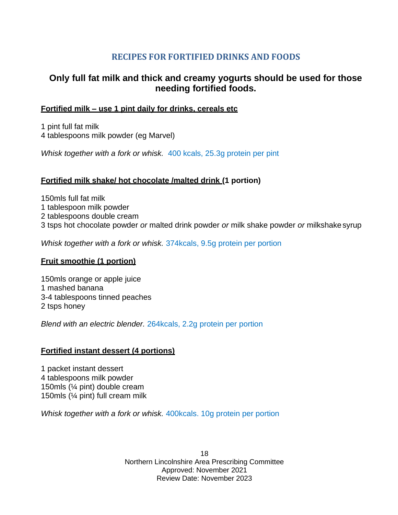# **RECIPES FOR FORTIFIED DRINKS AND FOODS**

# **Only full fat milk and thick and creamy yogurts should be used for those needing fortified foods.**

#### **Fortified milk – use 1 pint daily for drinks, cereals etc**

1 pint full fat milk 4 tablespoons milk powder (eg Marvel)

*Whisk together with a fork or whisk.* 400 kcals, 25.3g protein per pint

#### **Fortified milk shake/ hot chocolate /malted drink (1 portion)**

150mls full fat milk tablespoon milk powder tablespoons double cream tsps hot chocolate powder *or* malted drink powder *or* milk shake powder *or* milkshakesyrup

*Whisk together with a fork or whisk.* 374kcals, 9.5g protein per portion

#### **Fruit smoothie (1 portion)**

150mls orange or apple juice 1 mashed banana 3-4 tablespoons tinned peaches 2 tsps honey

*Blend with an electric blender.* 264kcals, 2.2g protein per portion

#### **Fortified instant dessert (4 portions)**

1 packet instant dessert 4 tablespoons milk powder 150mls (¼ pint) double cream 150mls (¼ pint) full cream milk

*Whisk together with a fork or whisk.* 400kcals. 10g protein per portion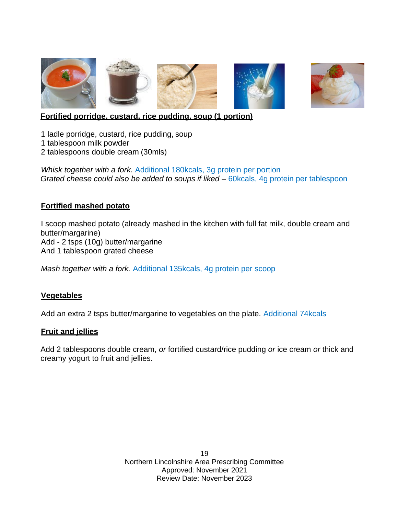



- 1 ladle porridge, custard, rice pudding, soup
- 1 tablespoon milk powder
- 2 tablespoons double cream (30mls)

*Whisk together with a fork.* Additional 180kcals, 3g protein per portion *Grated cheese could also be added to soups if liked –* 60kcals, 4g protein per tablespoon

#### **Fortified mashed potato**

I scoop mashed potato (already mashed in the kitchen with full fat milk, double cream and butter/margarine) Add - 2 tsps (10g) butter/margarine And 1 tablespoon grated cheese

*Mash together with a fork.* Additional 135kcals, 4g protein per scoop

#### **Vegetables**

Add an extra 2 tsps butter/margarine to vegetables on the plate. Additional 74kcals

#### **Fruit and jellies**

Add 2 tablespoons double cream, *or* fortified custard/rice pudding *or* ice cream *or* thick and creamy yogurt to fruit and jellies.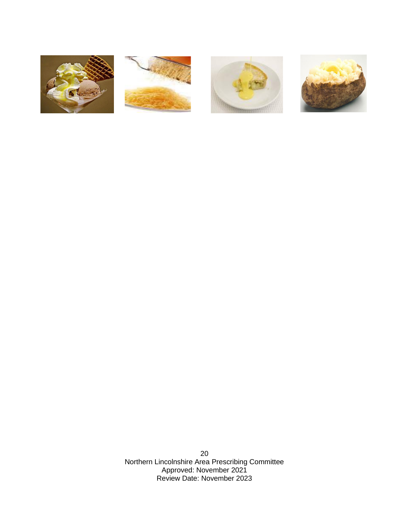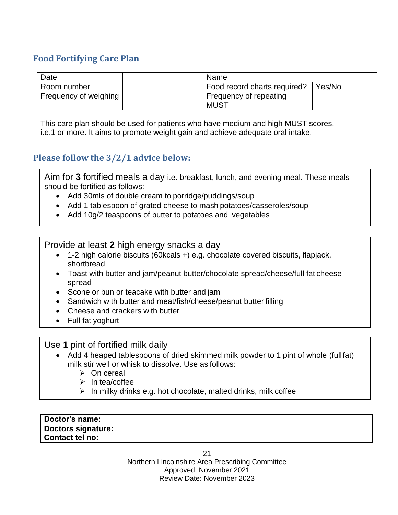# **Food Fortifying Care Plan**

| Date                  | Name |                                       |        |
|-----------------------|------|---------------------------------------|--------|
| Room number           |      | Food record charts required?          | Yes/No |
| Frequency of weighing |      | Frequency of repeating<br><b>MUST</b> |        |

This care plan should be used for patients who have medium and high MUST scores, i.e.1 or more. It aims to promote weight gain and achieve adequate oral intake.

# **Please follow the 3/2/1 advice below:**

Aim for **3** fortified meals a day i.e. breakfast, lunch, and evening meal. These meals should be fortified as follows:

- Add 30mls of double cream to porridge/puddings/soup
- Add 1 tablespoon of grated cheese to mash potatoes/casseroles/soup
- Add 10g/2 teaspoons of butter to potatoes and vegetables

Provide at least **2** high energy snacks a day

- 1-2 high calorie biscuits (60kcals +) e.g. chocolate covered biscuits, flapjack, shortbread
- Toast with butter and jam/peanut butter/chocolate spread/cheese/full fat cheese spread
- Scone or bun or teacake with butter and jam
- Sandwich with butter and meat/fish/cheese/peanut butter filling
- Cheese and crackers with butter
- Full fat yoghurt

Use **1** pint of fortified milk daily

- Add 4 heaped tablespoons of dried skimmed milk powder to 1 pint of whole (fullfat) milk stir well or whisk to dissolve. Use as follows:
	- ➢ On cereal
	- $\triangleright$  In tea/coffee
	- $\triangleright$  In milky drinks e.g. hot chocolate, malted drinks, milk coffee

#### **Doctor's name: Doctors signature: Contact tel no:**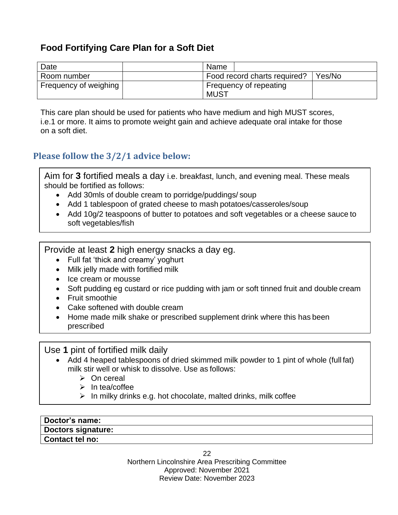# **Food Fortifying Care Plan for a Soft Diet**

| Date                  | Name        |                              |        |
|-----------------------|-------------|------------------------------|--------|
| Room number           |             | Food record charts required? | Yes/No |
| Frequency of weighing | <b>MUST</b> | Frequency of repeating       |        |

This care plan should be used for patients who have medium and high MUST scores, i.e.1 or more. It aims to promote weight gain and achieve adequate oral intake for those on a soft diet.

# **Please follow the 3/2/1 advice below:**

Aim for **3** fortified meals a day i.e. breakfast, lunch, and evening meal. These meals should be fortified as follows:

- Add 30mls of double cream to porridge/puddings/ soup
- Add 1 tablespoon of grated cheese to mash potatoes/casseroles/soup
- Add 10g/2 teaspoons of butter to potatoes and soft vegetables or a cheese sauce to soft vegetables/fish

Provide at least **2** high energy snacks a day eg.

- Full fat 'thick and creamy' yoghurt
- Milk jelly made with fortified milk
- Ice cream or mousse
- Soft pudding eg custard or rice pudding with jam or soft tinned fruit and double cream
- Fruit smoothie
- Cake softened with double cream
- Home made milk shake or prescribed supplement drink where this has been prescribed

Use **1** pint of fortified milk daily

- Add 4 heaped tablespoons of dried skimmed milk powder to 1 pint of whole (full fat) milk stir well or whisk to dissolve. Use as follows:
	- ➢ On cereal
	- $\triangleright$  In tea/coffee
	- $\triangleright$  In milky drinks e.g. hot chocolate, malted drinks, milk coffee

#### **Doctor's name:**

**Doctors signature:**

#### **Contact tel no:**